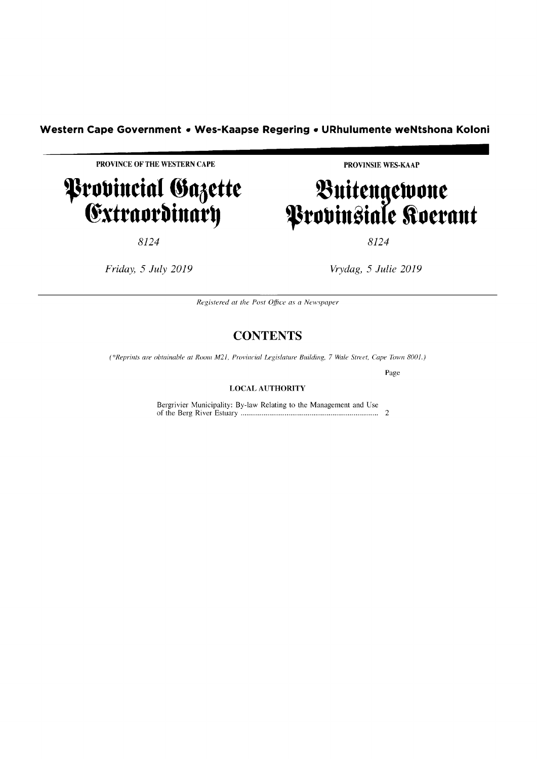# **Western Cape Government • Wes-Kaapse Regering • URhulumente weNtshona Koloni <br>
PROVINCE OF THE WESTERN CAPE PROVINCE PROVINSIE WES-KAAP**

**------------------------**

## Provincial Gazette @xttllotbinllt~

8124

*Friday,* 5 *July 2019* 

PROVINSIE WES-KAAP

## **t\uittngtlUOnt P**robinsiale Roerant **I**

8124

*Vrydag,* 5 *Julie 2019* 

*Registered at the Post Office as a Newspaper* 

#### **CONTENTS**

*(\*Reprints are obtainable at Room M21, Provincial Legislature Building, 7 Wale Street, Cape Town 8001.)* 

Page

#### LOCAL AUTHORITY

Bergrivier Municipality: By-law Relating to the Management and Use of the Berg Ri ver Estuary ........................................................................ 2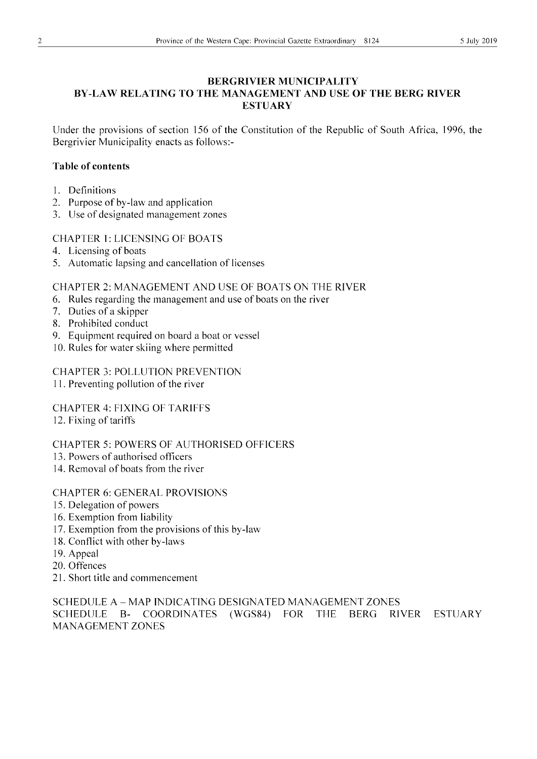#### **BERGRIVIER MUNICIPALITY BY-LAW RELATING TO THE MANAGEMENT AND USE OF THE BERG RIVER ESTUARY**

Under the provisions of section 156 of the Constitution of the Republic of South Africa, 1996, the Bergrivier Municipality enacts as follows:-

#### **Table of contents**

- 1. Definitions
- 2. Purpose of by-law and application
- 3. Use of designated management zones

#### CHAPTER 1: LICENSING OF BOATS

- 4. Licensing of boats
- 5. Automatic lapsing and cancellation of licenses

CHAPTER 2: MANAGEMENT AND USE OF BOATS ON THE RIVER

- 6. Rules regarding the management and use of boats on the river
- 7. Duties of a skipper
- 8. Prohibited conduct
- 9. Equipment required on board a boat or vessel
- 10. Rules for water skiing where permitted

CHAPTER 3: POLLUTION PREVENTION

II. Preventing pollution of the river

CHAPTER 4: FIXING OF TARIFFS

12. Fixing of tariffs

CHAPTER 5: POWERS OF AUTHORISED OFFICERS

- 13. Powers of authorised officers
- 14. Removal of boats from the river

#### CHAPTER 6: GENERAL PROVISIONS

- 15. Delegation of powers
- 16. Exemption from liability
- 17. Exemption from the provisions of this by-law
- 18. Conflict with other by-laws
- 19. Appeal
- 20. Offences
- 21. Short title and commencement

SCHEDULE A - MAP INDICATING DESIGNATED MANAGEMENT ZONES SCHEDULE B- COORDINATES (WGS84) FOR THE BERG RIVER ESTUARY MANAGEMENT ZONES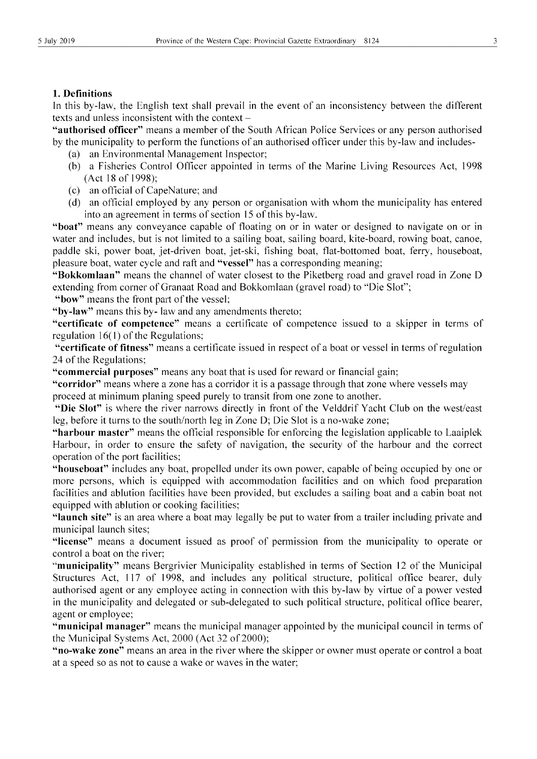#### 1. Definitions

In this by-law, the English text shall prevail in the event of an inconsistency between the different texts and unless inconsistent with the context -

"authorised officer" means a member of the South African Police Services or any person authorised by the municipality to perform the functions of an authorised officer under this by-law and includes-

- (a) an Environmental Management Inspector;
- (b) a Fisheries Control Officer appointed in terms of the Marine Living Resources Act, 1998 (Act 18 of 1998);
- (c) an official of Cape Nature; and
- (d) an official employed by any person or organisation with whom the municipality has entered into an agreement in terms of section 15 of this by-law.

"boat" means any conveyance capable of floating on or in water or designed to navigate on or in water and includes, but is not limited to a sailing boat, sailing board, kite-board, rowing boat, canoe, paddle ski, power boat, jet-driven boat, jet-ski, fishing boat, flat-bottomed boat, ferry, houseboat, pleasure boat, water cycle and raft and "vessel" has a corresponding meaning;

"Bokkomlaan" means the channel of water closest to the Piketberg road and gravel road in Zone D extending from corner of Granaat Road and Bokkomlaan (gravel road) to "Die Slot";

"bow" means the front part of the vessel;

"by-law" means this by- law and any amendments thereto;

"certificate of competence" means a certificate of competence issued to a skipper in terms of regulation  $16(1)$  of the Regulations;

"certificate of fitness" means a certificate issued in respect of a boat or vessel in terms of regulation 24 of the Regulations;

"commercial purposes" means any boat that is used for reward or financial gain;

"corridor" means where a zone has a corridor it is a passage through that zone where vessels may proceed at minimum planing speed purely to transit from one zone to another.

"Die Slot" is where the river narrows directly in front of the Velddrif Yacht Club on the west/east leg, before it turns to the south/north leg in Zone D; Die Slot is a no-wake zone;

"harbour master" means the official responsible for enforcing the legislation applicable to Laaiplek Harbour, in order to ensure the safety of navigation, the security of the harbour and the correct operation of the port facilities;

"houseboat" includes any boat, propelled under its own power, capable of being occupied by one or more persons, which is equipped with accommodation facilities and on which food preparation facilities and ablution facilities have been provided, but excludes a sailing boat and a cabin boat not equipped with ablution or cooking facilities;

"launch site" is an area where a boat may legally be put to water from a trailer including private and municipal launch sites;

"license" means a document issued as proof of permission from the municipality to operate or control a boat on the river;

"municipality" means Bergrivier Municipality established in terms of Section 12 of the Municipal Structures Act, 117 of 1998, and includes any political structure, political office bearer, duly authorised agent or any employee acting in connection with this by-law by virtue of a power vested in the municipality and delegated or sub-delegated to such political structure, political office bearer, agent or employee;

"municipal manager" means the municipal manager appointed by the municipal council in terms of the Municipal Systems Act,  $2000$  (Act 32 of 2000);

"no-wake zone" means an area in the river where the skipper or owner must operate or control a boat at a speed so as not to cause a wake or waves in the water;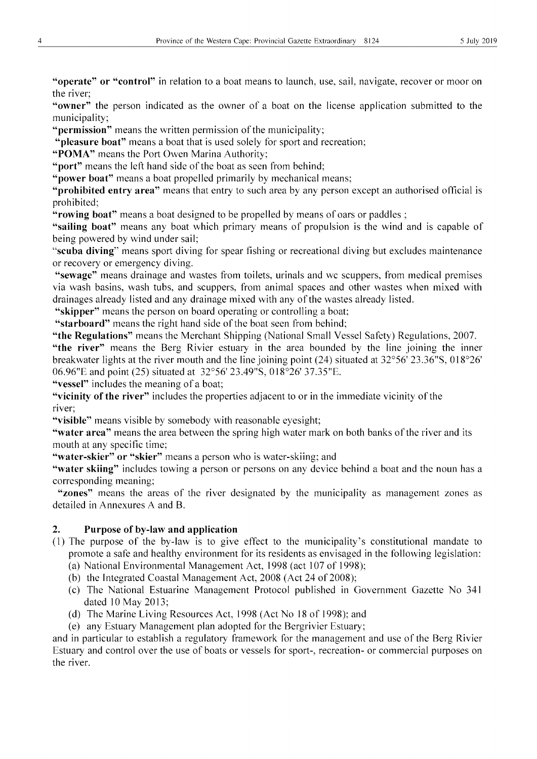"operate" or "control" in relation to a boat means to launch, use, sail, navigate, recover or moor on the river;

"owner" the person indicated as the owner of a boat on the license application submitted to the municipality;

"**permission**" means the written permission of the municipality;

"pleasure boat" means a boat that is used solely for sport and recreation;

"POMA" means the Port Owen Marina Authority;

"port" means the left hand side of the boat as seen from behind;

"power boat" means a boat propelled primarily by mechanical means;

"**prohibited entry area**" means that entry to such area by any person except an authorised official is prohibited;

"rowing boat" means a boat designed to be propelled by means of oars or paddles;

"sailing boat" means any boat which primary means of propulsion is the wind and is capable of being powered by wind under sail;

"scuba diving" means sport diving for spear fishing or recreational diving but excludes maintenance or recovery or emergency diving.

"sewage" means drainage and wastes from toilets, urinals and wc scuppers, from medical premises via wash basins, wash tubs, and scuppers, from animal spaces and other wastes when mixed with drainages already listed and any drainage mixed with any of the wastes already listed.

"skipper" means the person on board operating or controlling a boat;

"starboard" means the right hand side of the boat seen from behind;

"the Regulations" means the Merchant Shipping (National Small Vessel Safety) Regulations, 2007.

"the river" means the Berg Rivier estuary in the area bounded by the line joining the inner breakwater lights at the river mouth and the line joining point (24) situated at 32°56' 23.36"S, 018°26' 06.96"E and point (25) situated at 32°56' 23.49"S, 0 18°26' 37.35"E.

"vessel" includes the meaning of a boat;

"vicinity of the river" includes the properties adjacent to or in the immediate vicinity of the river;

"visible" means visible by somebody with reasonable eyesight;

"water area" means the area between the spring high water mark on both banks of the river and its mouth at any specific time;

"water-skier" or "skier" means a person who is water-skiing; and

"water skiing" includes towing a person or persons on any device behind a boat and the noun has a corresponding meaning;

"zones" means the areas of the river designated by the municipality as management zones as detailed in Annexures A and B.

#### 2. Purpose of by-law and application

- (1) The purpose of the by-law is to give effect to the municipality's constitutional mandate to promote a safe and healthy environment for its residents as envisaged in the following legislation: (a) National Environmental Management Act, 1998 (act 107 of 1998);
	- (b) the Integrated Coastal Management Act,  $2008$  (Act 24 of 2008);
	- (c) The National Estuarine Management Protocol published in Government Gazette No 341 dated 10 May 2013;
	- (d) The Marine Living Resources Act, 1998 (Act No 18 of 1998); and
	- (e) any Estuary Management plan adopted for the Bergrivier Estuary;

and in particular to establish a regulatory framework for the management and use of the Berg Rivier Estuary and control over the use of boats or vessels for sport-, recreation- or commercial purposes on the river.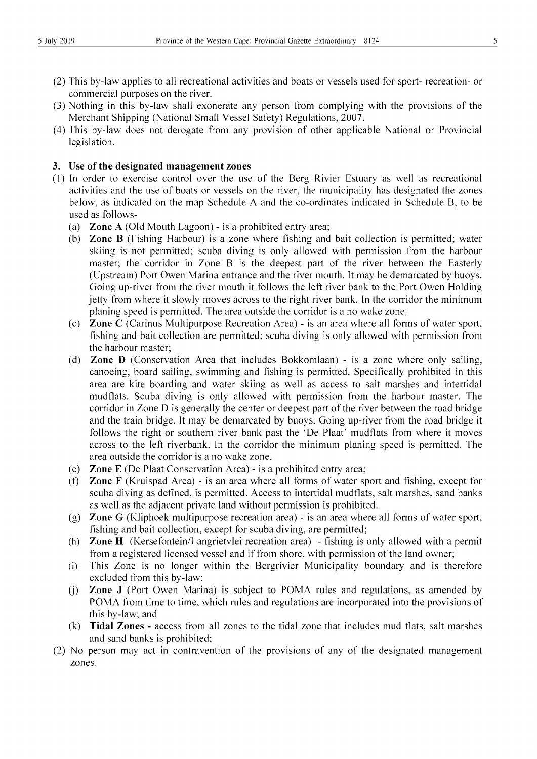- (2) This by-law applies to all recreational activities and boats or vessels used for sport- recreation- or commercial purposes on the river.
- (3) Nothing in this by-law shall exonerate any person from complying with the provisions of the Merchant Shipping (National Small Vessel Safety) Regulations, 2007.
- (4) This by-law does not derogate from any provision of other applicable National or Provincial legislation.

#### 3. Use of the designated management zones

- (1) In order to exercise control over the use of the Berg Rivier Estuary as well as recreational activities and the use of boats or vessels on the river, the municipality has designated the zones below, as indicated on the map Schedule A and the co-ordinates indicated in Schedule B, to be used as follows-
	- (a) Zone A (Old Mouth Lagoon) is a prohibited entry area;
	- (b) Zone B (Fishing Harbour) is a zone where fishing and bait collection is permitted; water skiing is not permitted; scuba diving is only allowed with permission from the harbour master; the corridor in Zone B is the deepest part of the river between the Easterly (Upstream) Port Owen Marina entrance and the river mouth. It may be demarcated by buoys. Going up-river from the river mouth it follows the left river bank to the Port Owen Holding jetty from where it slowly moves across to the right river bank. In the corridor the minimum planing speed is permitted. The area outside the corridor is a no wake zone;
	- (c) Zone C (Carinus Multipurpose Recreation Area) is an area where all forms of water sport, fishing and bait collection are permitted; scuba diving is only allowed with permission from the harbour master;
	- (d) Zone D (Conservation Area that includes Bokkomlaan) is a zone where only sailing, canoeing, board sailing, swimming and fishing is permitted. Specifically prohibited in this area are kite boarding and water skiing as well as access to salt marshes and intertidal mudflats. Scuba diving is only allowed with permission from the harbour master. The corridor in Zone D is generally the center or deepest part of the river between the road bridge and the train bridge. It may be demarcated by buoys. Going up-river from the road bridge it follows the right or southern river bank past the 'De Plaat' mudflats from where it moves across to the left riverbank. In the corridor the minimum planing speed is permitted. The area outside the corridor is a no wake zone.
	- (e) Zone E (De Plaat Conservation Area) is a prohibited entry area;
	- (f) Zone F (Kruispad Area) is an area where all forms of water sport and fishing, except for scuba diving as defined, is permitted. Access to intertidal mudflats, salt marshes, sand banks as well as the adjacent private land without permission is prohibited.
	- (g) Zone G (Kliphoek multipurpose recreation area) is an area where all forms of water sport, fishing and bait collection, except for scuba diving, are permitted;
	- (h) Zone H (Kersefontein/Langrietvlei recreation area) fishing is only allowed with a permit from a registered licensed vessel and if from shore, with permission of the land owner;
	- (i) This Zone is no longer within the Bergrivier Municipality boundary and is therefore excluded from this by-law;
	- U) Zone J (Port Owen Marina) is subject to POMA rules and regulations, as amended by POMA from time to time, which rules and regulations are incorporated into the provisions of this by-law; and
	- (k) Tidal Zones access from all zones to the tidal zone that includes mud flats, salt marshes and sand banks is prohibited;
- (2) No person may act in contravention of the provisions of any of the designated management zones.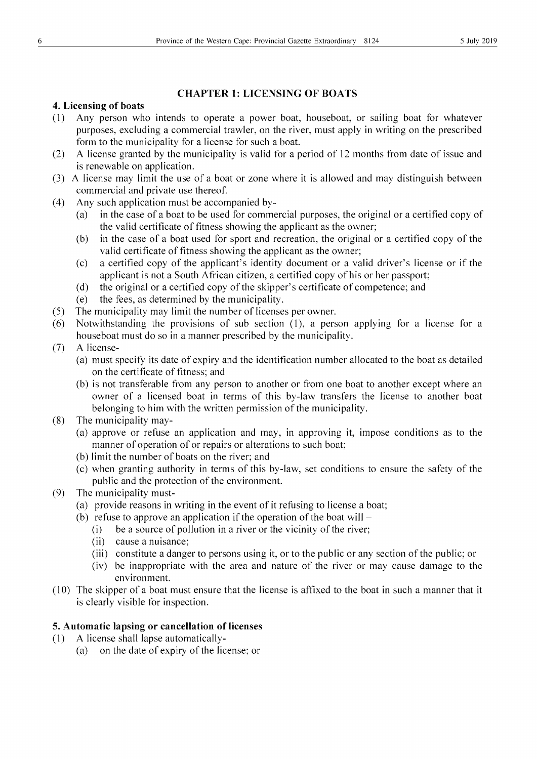#### CHAPTER 1: LICENSING OF BOATS

#### 4. Licensing of boats

- (1) Any person who intends to operate a power boat, houseboat, or sailing boat for whatever purposes, excluding a commercial trawler, on the river, must apply in writing on the prescribed form to the municipality for a license for such a boat.
- (2) A license granted by the municipality is valid for a period of 12 months from date of issue and is renewable on application.
- (3) A license may limit the use of a boat or zone where it is allowed and may distinguish between commercial and private use thereof.
- (4) Any such application must be accompanied by-
	- (a) in the case of a boat to be used for commercial purposes, the original or a certified copy of the valid certificate of fitness showing the applicant as the owner;
	- (b) in the case of a boat used for sport and recreation, the original or a certified copy of the valid certificate of fitness showing the applicant as the owner;
	- (c) a certified copy of the applicant's identity document or a valid driver's license or if the applicant is not a South African citizen, a certified copy of his or her passport;
	- (d) the original or a certified copy of the skipper's certificate of competence; and
	- (e) the fees, as determined by the municipality.
- (5) The municipality may limit the number of licenses per owner.
- (6) Notwithstanding the provisions of sub section (I), a person applying for a license for a houseboat must do so in a manner prescribed by the municipality.
- (7) A license-
	- (a) must specify its date of expiry and the identification number allocated to the boat as detailed on the certificate of fitness; and
	- (b) is not transferable from any person to another or from one boat to another except where an owner of a licensed boat in terms of this by-law transfers the license to another boat belonging to him with the written permission of the municipality.
- (8) The municipality may-
	- (a) approve or refuse an application and may, in approving it, impose conditions as to the manner of operation of or repairs or alterations to such boat;
	- (b) limit the number of boats on the river; and
	- (c) when granting authority in terms of this by-law, set conditions to ensure the safety of the public and the protection of the environment.
- (9) The municipality must-
	- (a) provide reasons in writing in the event of it refusing to license a boat;
	- (b) refuse to approve an application if the operation of the boat will  $-$ 
		- (i) be a source of pollution in a river or the vicinity of the river;
		- $(iii)$  cause a nuisance;
		- (iii) constitute a danger to persons using it, or to the public or any section of the public; or
		- (iv) be inappropriate with the area and nature of the river or may cause damage to the environment.
- (10) The skipper ofa boat must ensure that the license is affixed to the boat in such a manner that it is clearly visible for inspection.

#### 5. Automatic lapsing or cancellation of licenses

- (1) A license shall lapse automatically-
	- (a) on the date of expiry of the license; or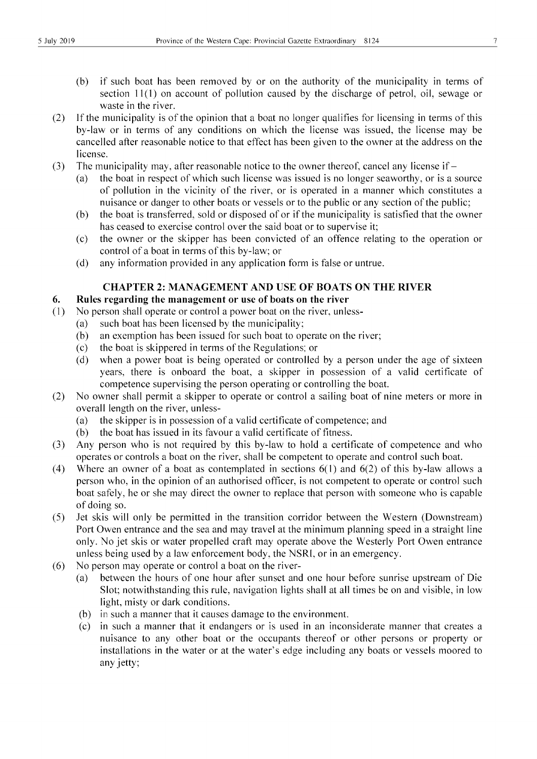- (b) if such boat has been removed by or on the authority of the municipality in terms of section 11(1) on account of pollution caused by the discharge of petrol, oil, sewage or waste in the river.
- (2) If the municipality is of the opinion that a boat no longer qualifies for licensing in terms of this by-law or in terms of any conditions on which the license was issued, the license may be cancelled after reasonable notice to that effect has been given to the owner at the address on the license.
- (3) The municipality may, after reasonable notice to the owner thereof, cancel any license if  $-$ 
	- (a) the boat in respect of which such license was issued is no longer seaworthy, or is a source of pollution in the vicinity of the river, or is operated in a manner which constitutes a nuisance or danger to other boats or vessels or to the public or any section of the public;
	- (b) the boat is transferred, sold or disposed of or if the municipality is satisfied that the owner has ceased to exercise control over the said boat or to supervise it;
	- (c) the owner or the skipper has been convicted of an offence relating to the operation or control of a boat in terms of this by-law; or
	- (d) any information provided in any application form is false or untrue.

#### **CHAPTER 2: MANAGEMENT AND USE OF BOATS ON THE RIVER**

#### **6. Rules regarding the management or use of boats on the river**

- (1) No person shall operate or control a power boat on the river, unless-
	- (a) such boat has been licensed by the municipality;
	- (b) an exemption has been issued for such boat to operate on the river;
	- (c) the boat is skippered in terms of the Regulations; or
	- (d) when a power boat is being operated or controlled by a person under the age of sixteen years, there is onboard the boat, a skipper in possession of a valid certificate of competence supervising the person operating or controlling the boat.
- (2) No owner shall permit a skipper to operate or control a sailing boat of nine meters or more in overall length on the river, unless-
	- (a) the skipper is in possession of a valid certificate of competence; and
	- (b) the boat has issued in its favour a valid certificate of fitness.
- (3) Any person who is not required by this by-law to hold a certificate of competence and who operates or controls a boat on the river, shall be competent to operate and control such boat.
- (4) Where an owner of a boat as contemplated in sections  $6(1)$  and  $6(2)$  of this by-law allows a person who, in the opinion of an authorised officer, is not competent to operate or control such boat safely, he or she may direct the owner to replace that person with someone who is capable of doing so.
- (5) Jet skis will only be permitted in the transition corridor between the Western (Downstream) Port Owen entrance and the sea and may travel at the minimum planning speed in a straight line only. No jet skis or water propelled craft may operate above the Westerly Port Owen entrance unless being used by a law enforcement body, the NSRL or in an emergency.
- (6) No person may operate or control a boat on the river-
	- (a) between the hours of one hour after sunset and one hour before sunrise upstream of Die Slot; notwithstanding this rule, navigation lights shall at all times be on and visible, in low light, misty or dark conditions.
	- (b) in such a manner that it causes damage to the environment.
	- (c) in such a manner that it endangers or is used in an inconsiderate manner that creates a nuisance to any other boat or the occupants thereof or other persons or property or installations in the water or at the water's edge including any boats or vessels moored to any jetty;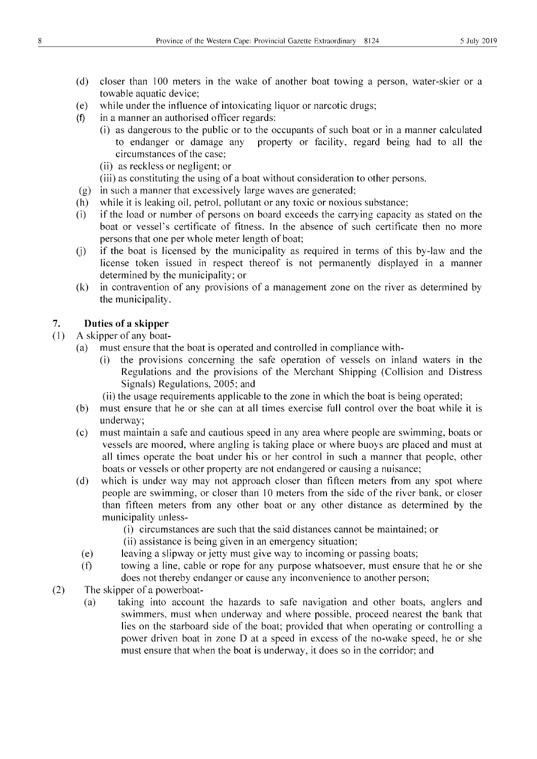- (d) closer than 100 meters in the wake of another boat towing a person, water-skier or a towable aquatic device;
- $(e)$  while under the influence of intoxicating liquor or narcotic drugs;
- (f) in a manner an authorised officer regards:
	- (i) as dangerous to the public or to the occupants of such boat or in a manner calculated to endanger or damage any property or facility, regard being had to all the circumstances of the case;
	- (ii) as reckless or negligent; or
	- (iii) as constituting the using of a boat without consideration to other persons.
- (g) in such a manner that excessively large waves are generated;
- (h) while it is leaking oil, petrol, pollutant or any toxic or noxious substance;
- (i) if the load or number of persons on board exceeds the carrying capacity as stated on the boat or vessel's certificate of fitness. In the absence of such certificate then no more persons that one per whole meter length of boat;
- (j) if the boat is licensed by the municipality as required in terms of this by-law and the license token issued in respect thereof is not permanently displayed in a manner determined by the municipality; or
- (k) in contravention of any provisions of a management zone on the river as determined by the municipality.

#### 7. **Duties of a skipper**

- (1) A skipper of any boat-
	- (a) must ensure that the boat is operated and controlled in compliance with-
		- (i) the provisions concerning the safe operation of vessels on inland waters in the Regulations and the provisions of the Merchant Shipping (Collision and Distress Signals) Regulations, 2005; and
		- (ii) the usage requirements applicable to the zone in which the boat is being operated;
	- (b) must ensure that he or she can at all times exercise full control over the boat while it is underway;
	- (c) must maintain a safe and cautious speed in any area where people are swimming, boats or vessels are moored, where angling is taking place or where buoys are placed and must at all times operate the boat under his or her control in such a manner that people, other boats or vessels or other property are not endangered or causing a nuisance;
	- (d) which is under way may not approach closer than fifteen meters from any spot where people are swimming, or closer than 10 meters from the side of the river bank, or closer than fifteen meters from any other boat or any other distance as determined by the municipality unless-
		- (i) circumstances are such that the said distances cannot be maintained; or
		- (ii) assistance is being given in an emergency situation;
		- (e) leaving a slipway or jetty must give way to incoming or passing boats;
		- (f) towing a line, cable or rope for any purpose whatsoever, must ensure that he or she does not thereby endanger or cause any inconvenience to another person;
- (2) The skipper of a powerboat-
	- (a) taking into account the hazards to safe navigation and other boats, anglers and swimmers, must when underway and where possible, proceed nearest the bank that lies on the starboard side of the boat; provided that when operating or controlling a power driven boat in zone D at a speed in excess of the no-wake speed, he or she must ensure that when the boat is underway, it does so in the corridor; and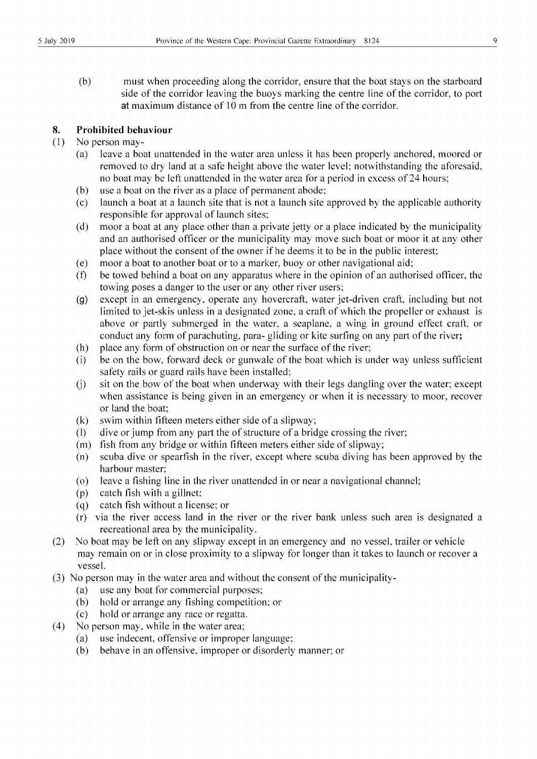(b) must when proceeding along the corridor, ensure that the boat stays on the starboard side of the corridor leaving the buoys marking the centre line of the corridor, to port at maximum distance of 10 m from the centre line of the corridor.

#### **8. Prohibited behaviour**

#### (1) No person may-

- (a) leave a boat unattended in the water area unless it has been properly anchored, moored or removed to dry land at a safe height above the water level; notwithstanding the aforesaid, no boat may be left unattended in the water area for a period in excess of24 hours;
- (b) use a boat on the river as a place of permanent abode;
- (c) launch a boat at a launch site that is not a launch site approved by the applicable authority responsible for approval of launch sites;
- (d) moor a boat at any place other than a private jetty or a place indicated by the municipality and an authorised officer or the municipality may move such boat or moor it at any other place without the consent of the owner if he deems it to be in the public interest;
- (e) moor a boat to another boat or to a marker, buoy or other navigational aid;
- (t) be towed behind a boat on any apparatus where in the opinion of an authorised officer, the towing poses a danger to the user or any other river users;
- (9) except in an emergency, operate any hovercraft, water jet-driven craft, including but not limited to jet-skis unless in a designated zone, a craft of which the propeller or exhaust is above or partly submerged in the water, a seaplane, a wing in ground effect craft, or conduct any form of parachuting, para- gliding or kite surfing on any part of the river;
- (h) place any form of obstruction on or near the surface of the river;
- (i) be on the bow, forward deck or gunwale of the boat which is under way unless sufficient safety rails or guard rails have been installed;
- $(i)$  sit on the bow of the boat when underway with their legs dangling over the water; except when assistance is being given in an emergency or when it is necessary to moor, recover or land the boat;
- (k) swim within fifteen meters either side of a slipway;
- (I) dive or jump from any part the of structure of a bridge crossing the river;
- (m) fish from any bridge or within fifteen meters either side of slipway;
- (n) scuba dive or spearfish in the river, except where scuba diving has been approved by the harbour master;
- (0) leave a fishing line in the river unattended in or near a navigational channel;
- (p) catch fish with a gillnet;
- (q) catch fish without a license; or
- (r) via the river access land in the river or the river bank unless such area is designated a recreational area by the municipality.
- (2) No boat may be left on any slipway except in an emergency and no vessel, trailer or vehicle may remain on or in close proximity to a slipway for longer than it takes to launch or recover a vessel.
- (3) No person may in the water area and without the consent of the municipality-
	- (a) use any boat for commercial purposes;
	- (b) hold or arrange any fishing competition; or
	- (c) hold or arrange any race or regatta.
- (4) No person may, while in the water area;
	- (a) use indecent, offensive or improper language;
	- (b) behave in an offensive, improper or disorderly manner; or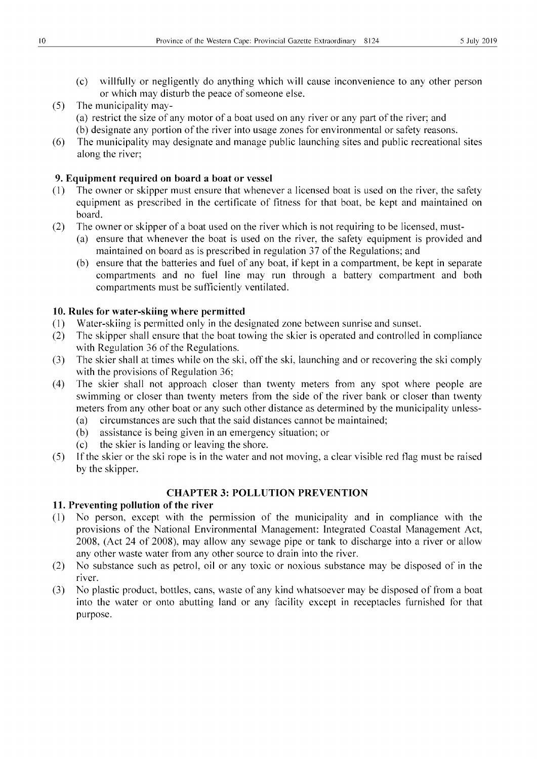- (c) willfully or negligently do anything which will cause inconvenience to any other person or which may disturb the peace of someone else.
- (5) The municipality may- (a) restrict the size of any motor of a boat used on any river or any part of the river; and (b) designate any portion of the river into usage zones for environmental or safety reasons.
- (6) The municipality may designate and manage public launching sites and public recreational sites along the river;

#### 9. Equipment required on board a boat or vessel

- (1) The owner or skipper must ensure that whenever a licensed boat is used on the river, the safety equipment as prescribed in the certificate of fitness for that boat, be kept and maintained on board.
- (2) The owner or skipper of a boat used on the river which is not requiring to be licensed, must-
	- (a) ensure that whenever the boat is used on the river, the safety equipment is provided and maintained on board as is prescribed in regulation 37 of the Regulations; and
	- (b) ensure that the batteries and fuel of any boat, if kept in a compartment, be kept in separate compartments and no fuel line may run through a battery compartment and both compartments must be sufficiently ventilated.

#### 10. Rules for water-skiing where permitted

- (1) Water-skiing is permitted only in the designated zone between sunrise and sunset.
- (2) The skipper shall ensure that the boat towing the skier is operated and controlled in compliance with Regulation 36 of the Regulations.
- (3) The skier shall at times while on the ski, off the ski, launching and or recovering the ski comply with the provisions of Regulation 36;
- (4) The skier shall not approach closer than twenty meters from any spot where people are swimming or closer than twenty meters from the side of the river bank or closer than twenty meters from any other boat or any such other distance as determined by the municipality unless-
	- (a) circumstances are such that the said distances cannot be maintained;
	- (b) assistance is being given in an emergency situation; or
	- (c) the skier is landing or leaving the shore.
- (5) If the skier or the ski rope is in the water and not moving, a clear visible red flag must be raised by the skipper.

#### CHAPTER 3: POLLUTION PREVENTION

#### 11. Preventing pollution of the river

- (1) No person, except with the permission of the municipality and in compliance with the provisions of the National Environmental Management: Integrated Coastal Management Act, 2008, (Act 24 of 2008), may allow any sewage pipe or tank to discharge into a river or allow any other waste water from any other source to drain into the river.
- (2) No substance such as petrol, oil or any toxic or noxious substance may be disposed of in the river.
- (3) No plastic product, bottles, cans, waste of any kind whatsoever may be disposed of from a boat into the water or onto abutting land or any facility except in receptacles furnished for that purpose.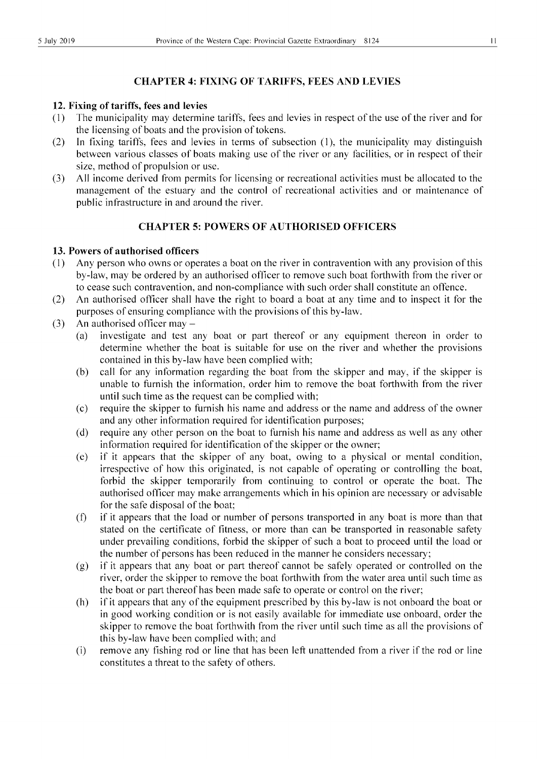#### **CHAPTER 4: FIXING OF TARIFFS, FEES AND LEVIES**

#### **12. Fixing of tariffs, fees and levies**

- (1) The municipality may determine tariffs, fees and levies in respect of the use of the river and for the licensing of boats and the provision of tokens.
- (2) In fixing tariffs, fees and levies in terms of subsection (1), the municipality may distinguish between various classes of boats making use of the river or any facilities, or in respect of their size, method of propulsion or use.
- (3) All income derived from permits for licensing or recreational activities must be allocated to the management of the estuary and the control of recreational activities and or maintenance of public infrastructure in and around the river.

#### **CHAPTER 5: POWERS OF AUTHORISED OFFICERS**

#### **13. Powers of authorised officers**

- (1) Any person who owns or operates a boat on the river in contravention with any provision of this by-law, may be ordered by an authorised officer to remove such boat forthwith from the river or to cease such contravention, and non-compliance with such order shall constitute an offence.
- (2) An authorised officer shall have the right to board a boat at any time and to inspect it for the purposes of ensuring compliance with the provisions of this by-law.
- (3) An authorised officer may  $-$ 
	- (a) investigate and test any boat or pati thereof or any equipment thereon in order to determine whether the boat is suitable for use on the river and whether the provisions contained in this by-law have been complied with;
	- (b) call for any information regarding the boat from the skipper and may, if the skipper is unable to furnish the information, order him to remove the boat forthwith from the river until such time as the request can be complied with;
	- (c) require the skipper to furnish his name and address or the name and address of the owner and any other information required for identification purposes;
	- (d) require any other person on the boat to furnish his name and address as well as any other information required for identification of the skipper or the owner;
	- (e) if it appears that the skipper of any boat, owing to a physical or mental condition, irrespective of how this originated, is not capable of operating or controlling the boat, forbid the skipper temporarily from continuing to control or operate the boat. The authorised officer may make arrangements which in his opinion are necessary or advisable for the safe disposal of the boat;
	- (f) if it appears that the load or number of persons transported in any boat is more than that stated on the certificate of fitness, or more than can be transported in reasonable safety under prevailing conditions, forbid the skipper of such a boat to proceed until the load or the number of persons has been reduced in the manner he considers necessary;
	- (g) if it appears that any boat or part thereof cannot be safely operated or controlled on the river, order the skipper to remove the boat forthwith from the water area until such time as the boat or part thereof has been made safe to operate or control on the river;
	- (h) if it appears that any of the equipment prescribed by this by-law is not onboard the boat or in good working condition or is not easily available for immediate use onboard, order the skipper to remove the boat forthwith from the river until such time as all the provisions of this by-law have been complied with; and
	- (i) remove any fishing rod or line that has been left unattended from a river if the rod or line constitutes a threat to the safety of others.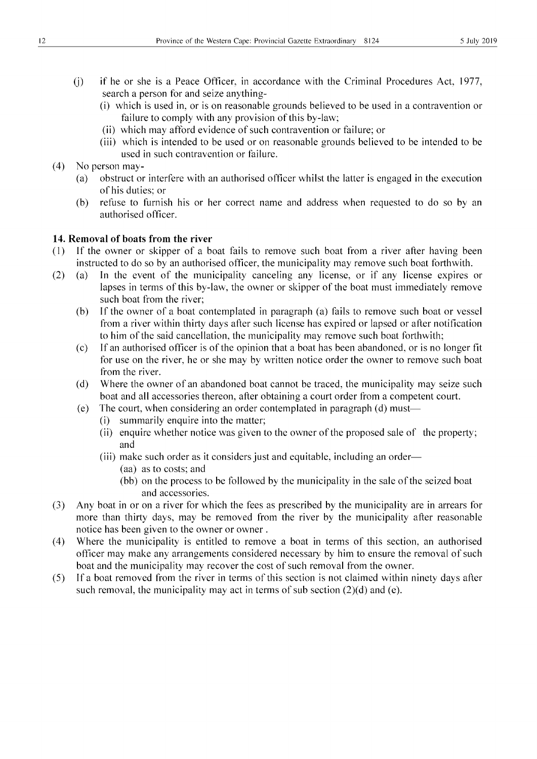- (j) if he or she is a Peace Officer, in accordance with the Criminal Procedures Act, 1977, search a person for and seize anything-
	- (i) which is used in, or is on reasonable grounds believed to be used in a contravention or failure to comply with any provision of this by-law;
	- (ii) which may afford evidence of such contravention or failure; or
	- (iii) which is intended to be used or on reasonable grounds believed to be intended to be used in such contravention or failure.
- (4) No person may-
	- (a) obstruct or interfere with an authorised officer whilst the latter is engaged in the execution of his duties; or
	- (b) refuse to furnish his or her correct name and address when requested to do so by an authorised officer.

#### **14. Removal of boats from the river**

- (1) If the owner or skipper of a boat fails to remove such boat from a river after having been instructed to do so by an authorised officer, the municipality may remove such boat forthwith.
- (2) (a) In the event of the municipality canceling any license, or if any license expires or lapses in terms of this by-law, the owner or skipper of the boat must immediately remove such boat from the river;
	- (b) If the owner of a boat contemplated in paragraph (a) fails to remove such boat or vessel from a river within thirty days after such license has expired or lapsed or after notification to him of the said cancellation, the municipality may remove such boat forthwith;
	- (c) Ifan authorised officer is of the opinion that a boat has been abandoned, or is no longer fit for use on the river, he or she may by written notice order the owner to remove such boat from the river.
	- (d) Where the owner of an abandoned boat cannot be traced, the municipality may seize such boat and all accessories thereon, after obtaining a court order from a competent court.
	- (e) The court, when considering an order contemplated in paragraph (d) must-
		- (i) summarily enquire into the matter;
		- (ii) enquire whether notice was given to the owner of the proposed sale of the property; and
		- (iii) make such order as it considers just and equitable, including an order—
			- (aa) as to costs; and
			- (bb) on the process to be followed by the municipality in the sale of the seized boat and accessories.
- (3) Any boat in or on a river for which the fees as prescribed by the municipality are in arrears for more than thirty days, may be removed from the river by the municipality after reasonable notice has been given to the owner or owner.
- (4) Where the municipality is entitled to remove a boat in terms of this section, an authorised officer may make any arrangements considered necessary by him to ensure the removal of such boat and the municipality may recover the cost of such removal from the owner.
- (5) Ifa boat removed from the river in terms of this section is not claimed within ninety days after such removal, the municipality may act in terms of sub section  $(2)(d)$  and (e).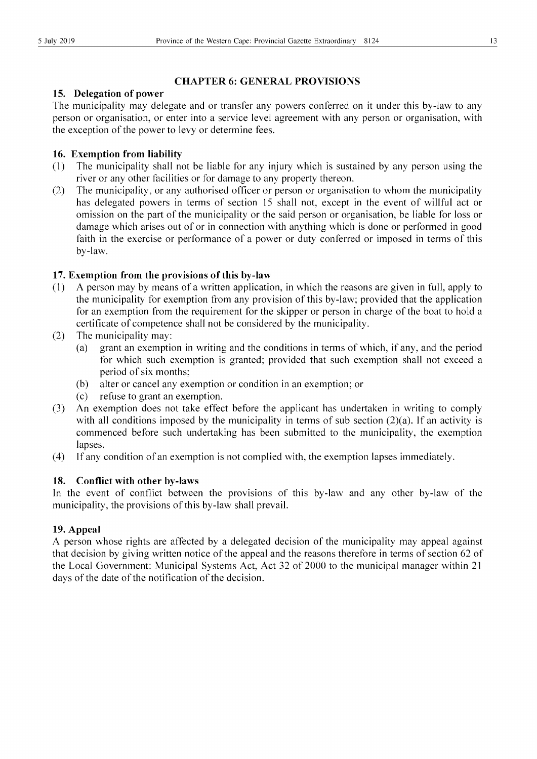#### **CHAPTER 6: GENERAL PROVISIONS**

#### **15. Delegation of power**

The municipality may delegate and or transfer any powers conferred on it under this by-law to any person or organisation, or enter into a service level agreement with any person or organisation, with the exception of the power to levy or determine fees.

#### **16. Exemption from liability**

- (1) The municipality shall not be liable for any injury which is sustained by any person using the river or any other facilities or for damage to any property thereon.
- (2) The municipality, or any authorised officer or person or organisation to whom the municipality has delegated powers in terms of section 15 shall not, except in the event of willful act or omission on the part of the municipality or the said person or organisation, be liable for loss or damage which arises out of or in connection with anything which is done or performed in good faith in the exercise or performance of a power or duty conferred or imposed in terms of this by-law.

#### **17. Exemption from the provisions** of this **by-law**

- (1) A person may by means of a written application, in which the reasons are given in full, apply to the municipality for exemption from any provision of this by-law; provided that the application for an exemption from the requirement for the skipper or person in charge of the boat to hold a certificate of competence shall not be considered by the municipality.
- (2) The municipality may:
	- (a) grant an exemption in writing and the conditions in terms of which, if any, and the period for which such exemption is granted; provided that such exemption shall not exceed a period of six months;
	- (b) alter or cancel any exemption or condition in an exemption; or
	- (c) refuse to grant an exemption.
- (3) An exemption does not take effect before the applicant has undertaken in writing to comply with all conditions imposed by the municipality in terms of sub section  $(2)(a)$ . If an activity is commenced before such undertaking has been submitted to the municipality, the exemption lapses.
- (4) Ifany condition of an exemption is not complied with, the exemption lapses immediately.

#### **18. Conflict with other by-laws**

In the event of conflict between the provisions of this by-law and any other by-law of the municipality, the provisions of this by-law shall prevail.

#### **19. Appeal**

A person whose rights are affected by a delegated decision of the municipality may appeal against that decision by giving written notice of the appeal and the reasons therefore in terms of section 62 of the Local Government: Municipal Systems Act, Act 32 of 2000 to the municipal manager within 21 days of the date of the notification of the decision.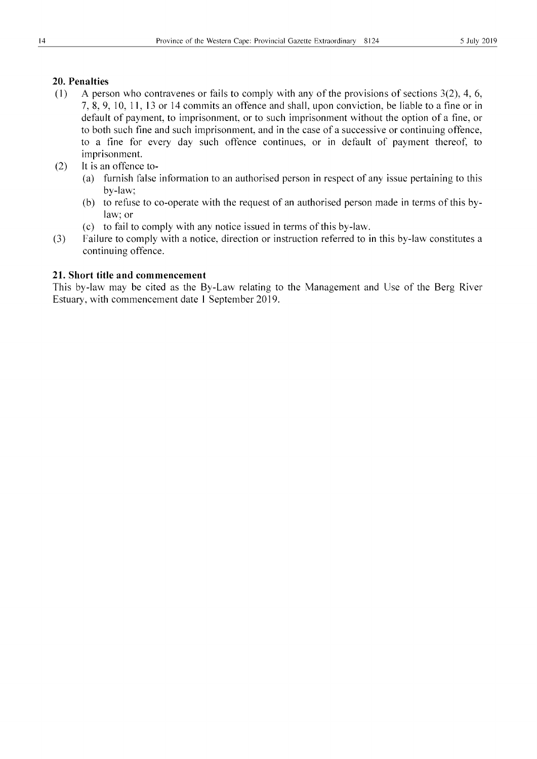#### **20. Penalties**

- (1) A person who contravenes or fails to comply with any of the provisions of sections  $3(2)$ , 4, 6, 7, 8, 9, 10, **11,** 13 or 14 commits an offence and shall, upon conviction, be liable to a fine or in default of payment, to imprisonment, or to such imprisonment without the option of a fine, or to both such fine and such imprisonment, and in the case of a successive or continuing offence, to a fine for every day such offence continues, or in default of payment thereof, to imprisonment.
- (2) It is an offence to-
	- (a) furnish false information to an authorised person in respect of any issue pertaining to this by-law;
	- (b) to refuse to co-operate with the request of an authorised person made in terms of this bylaw; or
	- (c) to fail to comply with any notice issued in terms of this by-law.
- (3) Failure to comply with a notice, direction or instruction referred to in this by-law constitutes a continuing offence.

#### **21. Short title and commencement**

This by-law may be cited as the By-Law relating to the Management and Use of the Berg River Estuary, with commencement date I September 2019.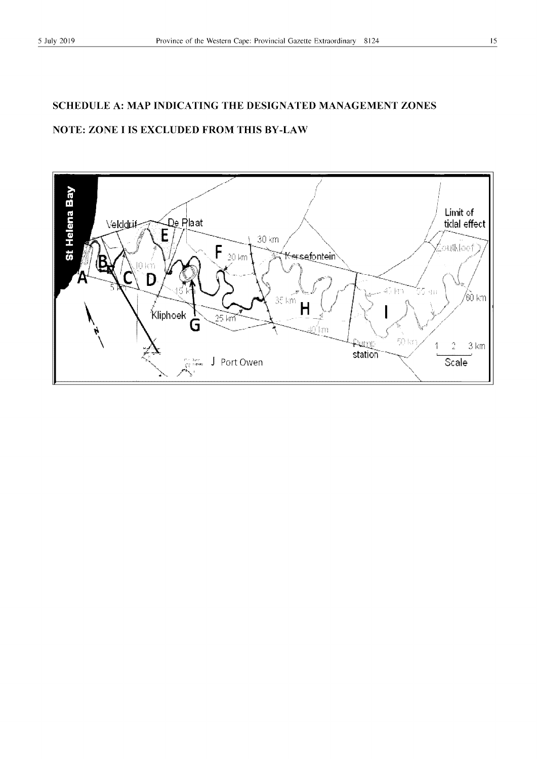### **SCHEDULE A: MAP INDICATING THE DESIGNATED MANAGEMENT ZONES NOTE: ZONE I IS EXCLUDED FROM THIS BY -LAW**

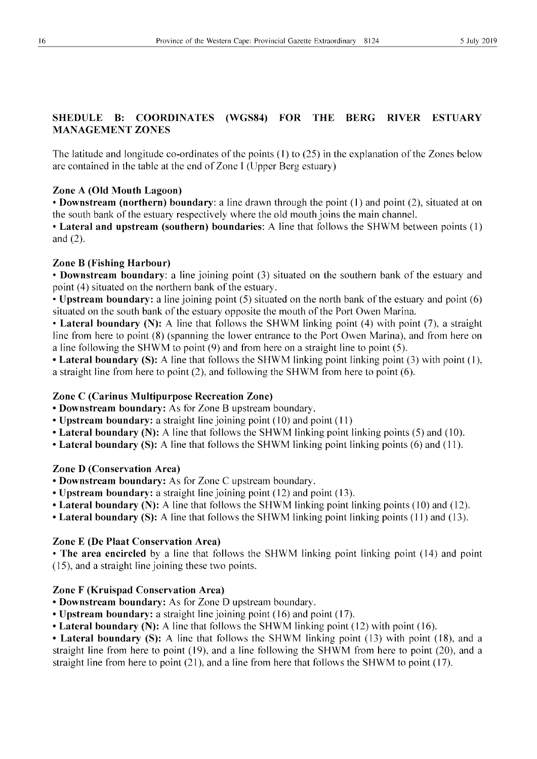#### SHEDULE B: COORDINATES (WGS84) FOR THE BERG RIVER ESTUARY MANAGEMENT ZONES

The latitude and longitude co-ordinates of the points (1) to (25) in the explanation of the Zones below are contained in the table at the end of Zone I (Upper Berg estuary)

#### Zone A (Old Mouth Lagoon)

• Downstream (northern) boundary: a line drawn through the point (1) and point (2), situated at on the south bank of the estuary respectively where the old mouth joins the main channel.

• Lateral and upstream (southern) boundaries: A line that follows the SHWM between points (1) and (2).

#### Zone B (Fishing Harbour)

• Downstream boundary: a line joining point (3) situated on the southern bank of the estuary and point (4) situated on the northern bank of the estuary.

• Upstream boundary: a line joining point (5) situated on the north bank of the estuary and point (6) situated on the south bank of the estuary opposite the mouth of the Port Owen Marina .

• Lateral boundary (N): A line that follows the SHWM linking point (4) with point (7), a straight line from here to point (8) (spanning the lower entrance to the Port Owen Marina), and from here on a line following the SHWM to point (9) and from here on a straight line to point (5).

• Lateral boundary (S): A line that follows the SHWM linking point linking point (3) with point (1), a straight line from here to point (2), and following the SHWM from here to point (6).

#### Zone C (Carinus Multipurpose Recreation Zone)

• Downstream boundary: As for Zone B upstream boundary.

- Upstream boundary: a straight line joining point (10) and point (11)
- Lateral boundary (N): A line that follows the SHWM linking point linking points (5) and (10).
- Lateral boundary (S): A line that follows the SHWM linking point linking points (6) and (11).

#### Zone D (Conservation Area)

- Downstream boundary: As for Zone C upstream boundary.
- Upstream boundary: a straight line joining point (12) and point (13).
- Lateral boundary (N): A line that follows the SHWM linking point linking points (10) and (12).
- Lateral boundary (S): A line that follows the SHWM linking point linking points (11) and (13).

#### Zone E (De Plaat Conservation Area)

• The area encircled by a line that follows the SHWM linking point linking point (14) and point (15), and a straight line joining these two points.

#### Zone F (Kruispad Conservation Area)

- Downstream boundary: As for Zone D upstream boundary.
- Upstream boundary: a straight line joining point (16) and point (17).
- Lateral boundary (N): A line that follows the SHWM linking point (12) with point (16).

• Lateral boundary (S): A line that follows the SHWM linking point (13) with point (18), and a straight line from here to point (19), and a line following the SHWM from here to point (20), and a straight line from here to point (21), and a line from here that follows the SHWM to point (17).